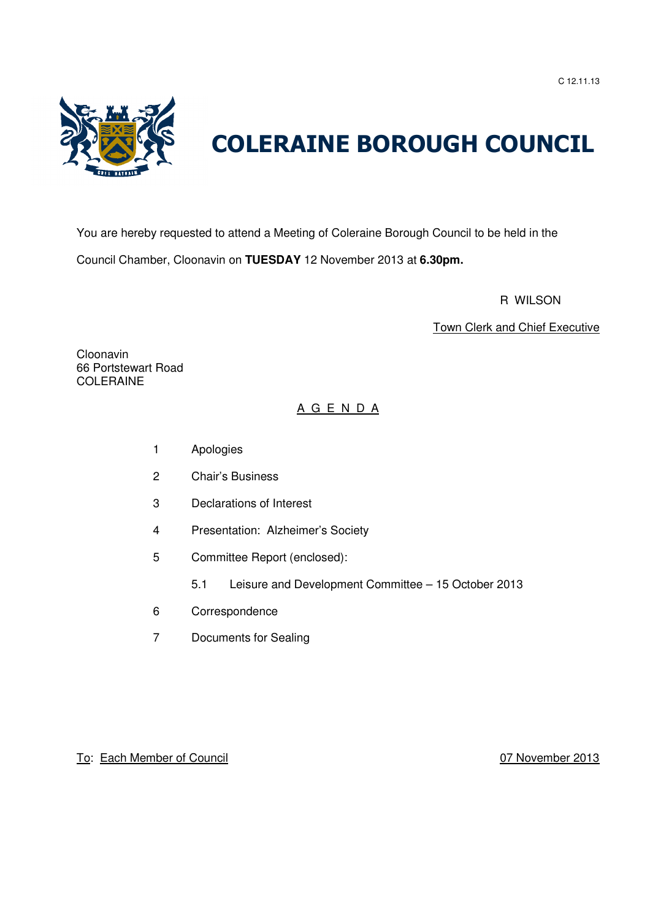C 12.11.13



# COLERAINE BOROUGH COUNCIL

You are hereby requested to attend a Meeting of Coleraine Borough Council to be held in the Council Chamber, Cloonavin on **TUESDAY** 12 November 2013 at **6.30pm.**

R WILSON

Town Clerk and Chief Executive

Cloonavin 66 Portstewart Road COLERAINE

## A G E N D A

- 1 Apologies
- 2 Chair's Business
- 3 Declarations of Interest
- 4 Presentation: Alzheimer's Society
- 5 Committee Report (enclosed):
	- 5.1 Leisure and Development Committee 15 October 2013
- 6 Correspondence
- 7 Documents for Sealing

To: Each Member of Council 07 November 2013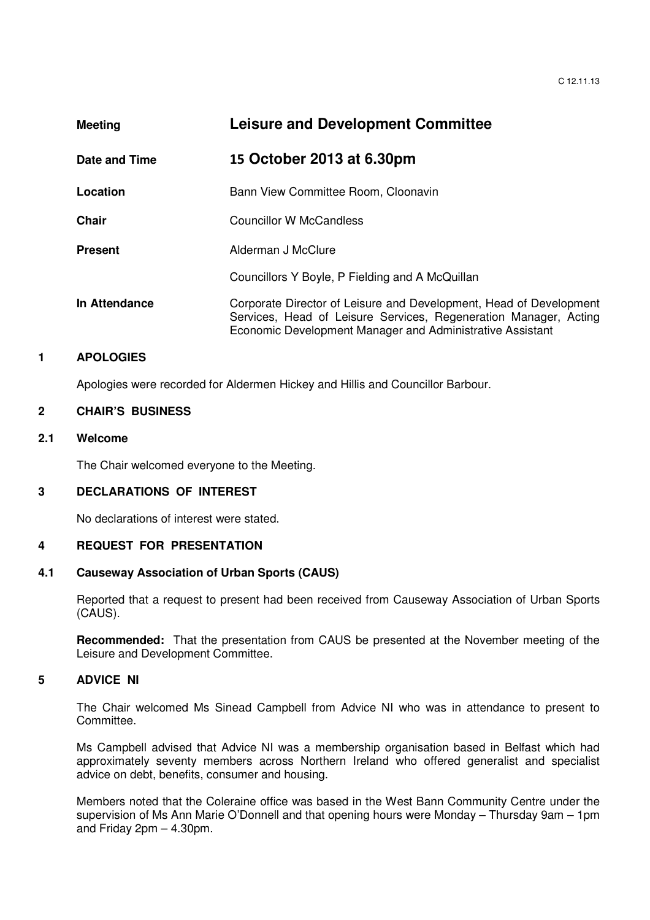| <b>Meeting</b> |                | <b>Leisure and Development Committee</b>                                                                                                                                                            |
|----------------|----------------|-----------------------------------------------------------------------------------------------------------------------------------------------------------------------------------------------------|
|                | Date and Time  | 15 October 2013 at 6.30pm                                                                                                                                                                           |
|                | Location       | Bann View Committee Room, Cloonavin                                                                                                                                                                 |
|                | Chair          | Councillor W McCandless                                                                                                                                                                             |
|                | <b>Present</b> | Alderman J McClure                                                                                                                                                                                  |
|                |                | Councillors Y Boyle, P Fielding and A McQuillan                                                                                                                                                     |
|                | In Attendance  | Corporate Director of Leisure and Development, Head of Development<br>Services, Head of Leisure Services, Regeneration Manager, Acting<br>Economic Development Manager and Administrative Assistant |

## **1 APOLOGIES**

Apologies were recorded for Aldermen Hickey and Hillis and Councillor Barbour.

#### **2 CHAIR'S BUSINESS**

## **2.1 Welcome**

The Chair welcomed everyone to the Meeting.

## **3 DECLARATIONS OF INTEREST**

No declarations of interest were stated.

## **4 REQUEST FOR PRESENTATION**

## **4.1 Causeway Association of Urban Sports (CAUS)**

Reported that a request to present had been received from Causeway Association of Urban Sports (CAUS).

**Recommended:** That the presentation from CAUS be presented at the November meeting of the Leisure and Development Committee.

## **5 ADVICE NI**

 The Chair welcomed Ms Sinead Campbell from Advice NI who was in attendance to present to Committee.

Ms Campbell advised that Advice NI was a membership organisation based in Belfast which had approximately seventy members across Northern Ireland who offered generalist and specialist advice on debt, benefits, consumer and housing.

Members noted that the Coleraine office was based in the West Bann Community Centre under the supervision of Ms Ann Marie O'Donnell and that opening hours were Monday – Thursday 9am – 1pm and Friday 2pm – 4.30pm.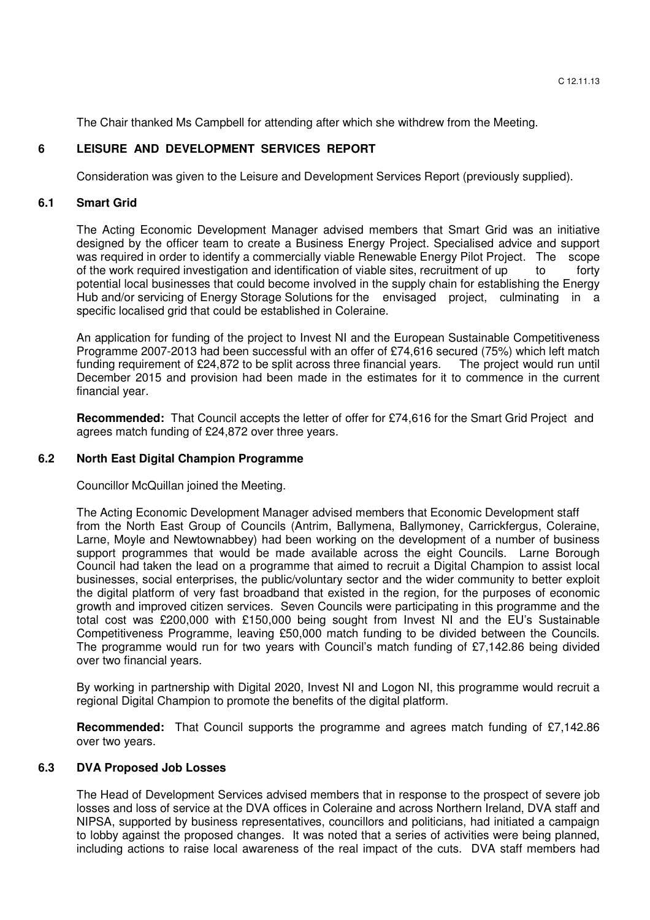The Chair thanked Ms Campbell for attending after which she withdrew from the Meeting.

## **6 LEISURE AND DEVELOPMENT SERVICES REPORT**

Consideration was given to the Leisure and Development Services Report (previously supplied).

## **6.1 Smart Grid**

The Acting Economic Development Manager advised members that Smart Grid was an initiative designed by the officer team to create a Business Energy Project. Specialised advice and support was required in order to identify a commercially viable Renewable Energy Pilot Project. The scope of the work required investigation and identification of viable sites, recruitment of up to tority potential local businesses that could become involved in the supply chain for establishing the Energy Hub and/or servicing of Energy Storage Solutions for the envisaged project, culminating in a specific localised grid that could be established in Coleraine.

An application for funding of the project to Invest NI and the European Sustainable Competitiveness Programme 2007-2013 had been successful with an offer of £74,616 secured (75%) which left match funding requirement of £24,872 to be split across three financial years. The project would run until December 2015 and provision had been made in the estimates for it to commence in the current financial year.

**Recommended:** That Council accepts the letter of offer for £74,616 for the Smart Grid Project and agrees match funding of £24,872 over three years.

## **6.2 North East Digital Champion Programme**

Councillor McQuillan joined the Meeting.

The Acting Economic Development Manager advised members that Economic Development staff from the North East Group of Councils (Antrim, Ballymena, Ballymoney, Carrickfergus, Coleraine, Larne, Moyle and Newtownabbey) had been working on the development of a number of business support programmes that would be made available across the eight Councils. Larne Borough Council had taken the lead on a programme that aimed to recruit a Digital Champion to assist local businesses, social enterprises, the public/voluntary sector and the wider community to better exploit the digital platform of very fast broadband that existed in the region, for the purposes of economic growth and improved citizen services. Seven Councils were participating in this programme and the total cost was £200,000 with £150,000 being sought from Invest NI and the EU's Sustainable Competitiveness Programme, leaving £50,000 match funding to be divided between the Councils. The programme would run for two years with Council's match funding of £7,142.86 being divided over two financial years.

By working in partnership with Digital 2020, Invest NI and Logon NI, this programme would recruit a regional Digital Champion to promote the benefits of the digital platform.

**Recommended:** That Council supports the programme and agrees match funding of £7,142.86 over two years.

## **6.3 DVA Proposed Job Losses**

The Head of Development Services advised members that in response to the prospect of severe job losses and loss of service at the DVA offices in Coleraine and across Northern Ireland, DVA staff and NIPSA, supported by business representatives, councillors and politicians, had initiated a campaign to lobby against the proposed changes. It was noted that a series of activities were being planned, including actions to raise local awareness of the real impact of the cuts. DVA staff members had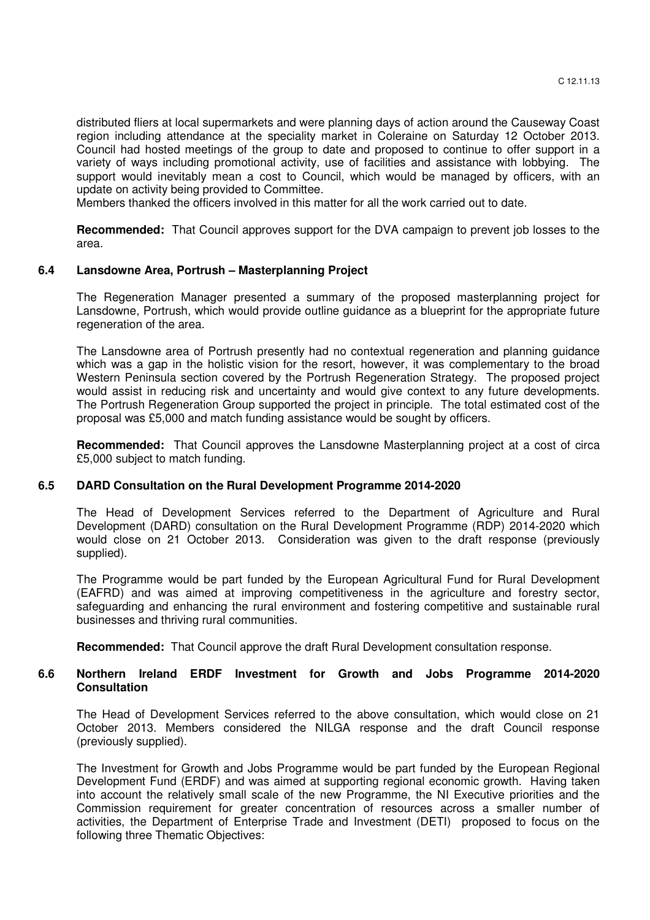distributed fliers at local supermarkets and were planning days of action around the Causeway Coast region including attendance at the speciality market in Coleraine on Saturday 12 October 2013. Council had hosted meetings of the group to date and proposed to continue to offer support in a variety of ways including promotional activity, use of facilities and assistance with lobbying. The support would inevitably mean a cost to Council, which would be managed by officers, with an update on activity being provided to Committee.

Members thanked the officers involved in this matter for all the work carried out to date.

**Recommended:** That Council approves support for the DVA campaign to prevent job losses to the area.

#### **6.4 Lansdowne Area, Portrush – Masterplanning Project**

The Regeneration Manager presented a summary of the proposed masterplanning project for Lansdowne, Portrush, which would provide outline guidance as a blueprint for the appropriate future regeneration of the area.

The Lansdowne area of Portrush presently had no contextual regeneration and planning guidance which was a gap in the holistic vision for the resort, however, it was complementary to the broad Western Peninsula section covered by the Portrush Regeneration Strategy. The proposed project would assist in reducing risk and uncertainty and would give context to any future developments. The Portrush Regeneration Group supported the project in principle. The total estimated cost of the proposal was £5,000 and match funding assistance would be sought by officers.

**Recommended:** That Council approves the Lansdowne Masterplanning project at a cost of circa £5,000 subject to match funding.

#### **6.5 DARD Consultation on the Rural Development Programme 2014-2020**

The Head of Development Services referred to the Department of Agriculture and Rural Development (DARD) consultation on the Rural Development Programme (RDP) 2014-2020 which would close on 21 October 2013. Consideration was given to the draft response (previously supplied).

The Programme would be part funded by the European Agricultural Fund for Rural Development (EAFRD) and was aimed at improving competitiveness in the agriculture and forestry sector, safeguarding and enhancing the rural environment and fostering competitive and sustainable rural businesses and thriving rural communities.

**Recommended:** That Council approve the draft Rural Development consultation response.

## **6.6 Northern Ireland ERDF Investment for Growth and Jobs Programme 2014-2020 Consultation**

The Head of Development Services referred to the above consultation, which would close on 21 October 2013. Members considered the NILGA response and the draft Council response (previously supplied).

The Investment for Growth and Jobs Programme would be part funded by the European Regional Development Fund (ERDF) and was aimed at supporting regional economic growth. Having taken into account the relatively small scale of the new Programme, the NI Executive priorities and the Commission requirement for greater concentration of resources across a smaller number of activities, the Department of Enterprise Trade and Investment (DETI) proposed to focus on the following three Thematic Objectives: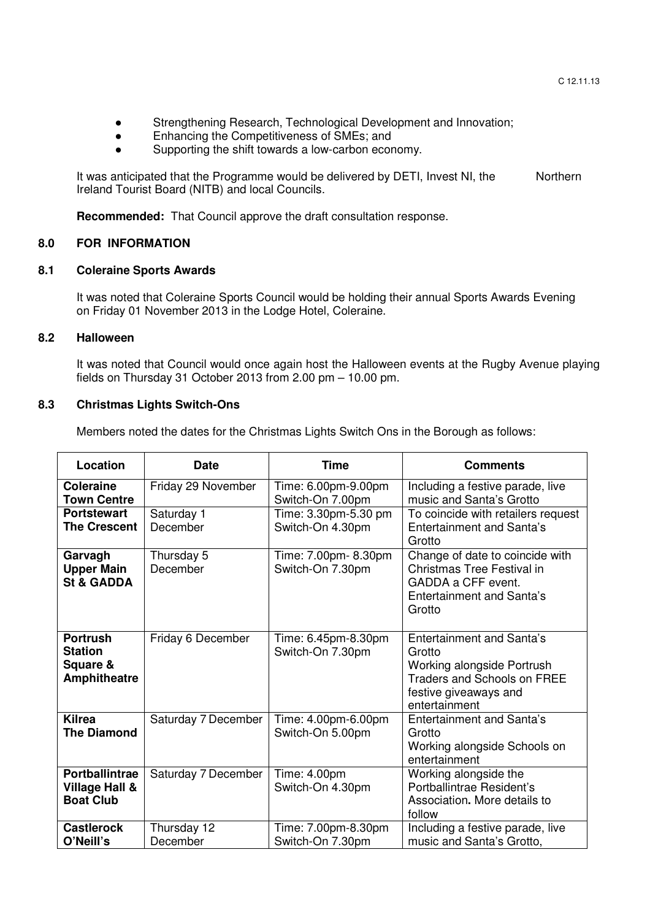- Strengthening Research, Technological Development and Innovation;
- Enhancing the Competitiveness of SMEs; and
- Supporting the shift towards a low-carbon economy.

It was anticipated that the Programme would be delivered by DETI, Invest NI, the Northern Ireland Tourist Board (NITB) and local Councils.

**Recommended:** That Council approve the draft consultation response.

## **8.0 FOR INFORMATION**

## **8.1 Coleraine Sports Awards**

It was noted that Coleraine Sports Council would be holding their annual Sports Awards Evening on Friday 01 November 2013 in the Lodge Hotel, Coleraine.

#### **8.2 Halloween**

It was noted that Council would once again host the Halloween events at the Rugby Avenue playing fields on Thursday 31 October 2013 from 2.00 pm – 10.00 pm.

## **8.3 Christmas Lights Switch-Ons**

Members noted the dates for the Christmas Lights Switch Ons in the Borough as follows:

| Location                                                             | <b>Date</b>             | <b>Time</b>                              | <b>Comments</b>                                                                                                                                          |
|----------------------------------------------------------------------|-------------------------|------------------------------------------|----------------------------------------------------------------------------------------------------------------------------------------------------------|
| <b>Coleraine</b><br><b>Town Centre</b>                               | Friday 29 November      | Time: 6.00pm-9.00pm<br>Switch-On 7.00pm  | Including a festive parade, live<br>music and Santa's Grotto                                                                                             |
| <b>Portstewart</b><br><b>The Crescent</b>                            | Saturday 1<br>December  | Time: 3.30pm-5.30 pm<br>Switch-On 4.30pm | To coincide with retailers request<br><b>Entertainment and Santa's</b><br>Grotto                                                                         |
| Garvagh<br><b>Upper Main</b><br><b>St &amp; GADDA</b>                | Thursday 5<br>December  | Time: 7.00pm- 8.30pm<br>Switch-On 7.30pm | Change of date to coincide with<br>Christmas Tree Festival in<br>GADDA a CFF event.<br>Entertainment and Santa's<br>Grotto                               |
| <b>Portrush</b><br><b>Station</b><br>Square &<br><b>Amphitheatre</b> | Friday 6 December       | Time: 6.45pm-8.30pm<br>Switch-On 7.30pm  | <b>Entertainment and Santa's</b><br>Grotto<br>Working alongside Portrush<br><b>Traders and Schools on FREE</b><br>festive giveaways and<br>entertainment |
| <b>Kilrea</b><br><b>The Diamond</b>                                  | Saturday 7 December     | Time: 4.00pm-6.00pm<br>Switch-On 5.00pm  | <b>Entertainment and Santa's</b><br>Grotto<br>Working alongside Schools on<br>entertainment                                                              |
| <b>Portballintrae</b><br>Village Hall &<br><b>Boat Club</b>          | Saturday 7 December     | Time: 4.00pm<br>Switch-On 4.30pm         | Working alongside the<br>Portballintrae Resident's<br>Association. More details to<br>follow                                                             |
| <b>Castlerock</b><br>O'Neill's                                       | Thursday 12<br>December | Time: 7.00pm-8.30pm<br>Switch-On 7.30pm  | Including a festive parade, live<br>music and Santa's Grotto,                                                                                            |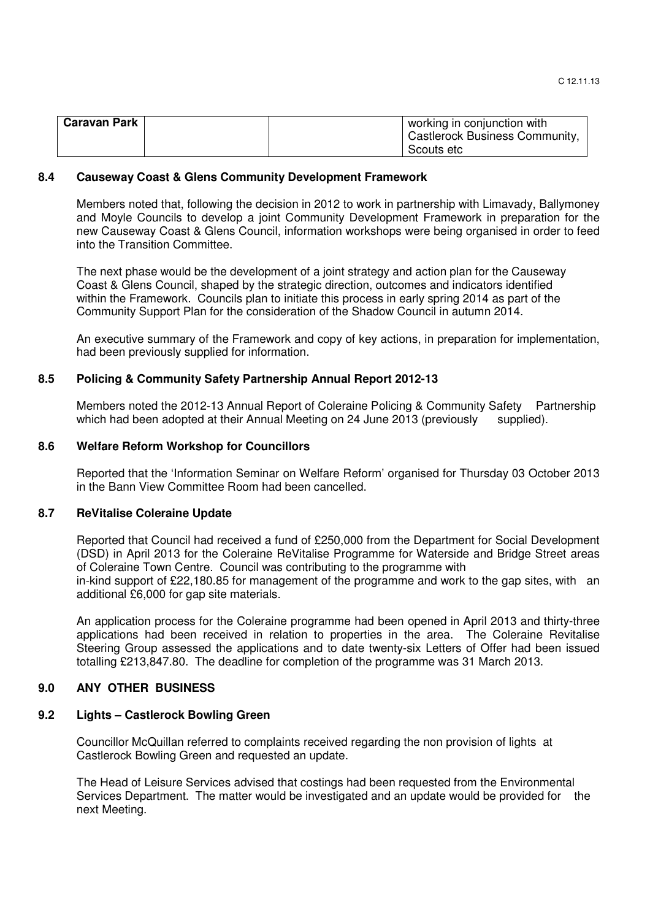| <b>Caravan Park</b> |  | working in conjunction with    |
|---------------------|--|--------------------------------|
|                     |  | Castlerock Business Community, |
|                     |  | Scouts etc                     |

### **8.4 Causeway Coast & Glens Community Development Framework**

Members noted that, following the decision in 2012 to work in partnership with Limavady, Ballymoney and Moyle Councils to develop a joint Community Development Framework in preparation for the new Causeway Coast & Glens Council, information workshops were being organised in order to feed into the Transition Committee.

The next phase would be the development of a joint strategy and action plan for the Causeway Coast & Glens Council, shaped by the strategic direction, outcomes and indicators identified within the Framework. Councils plan to initiate this process in early spring 2014 as part of the Community Support Plan for the consideration of the Shadow Council in autumn 2014.

An executive summary of the Framework and copy of key actions, in preparation for implementation, had been previously supplied for information.

#### **8.5 Policing & Community Safety Partnership Annual Report 2012-13**

Members noted the 2012-13 Annual Report of Coleraine Policing & Community Safety Partnership which had been adopted at their Annual Meeting on 24 June 2013 (previously supplied).

#### **8.6 Welfare Reform Workshop for Councillors**

Reported that the 'Information Seminar on Welfare Reform' organised for Thursday 03 October 2013 in the Bann View Committee Room had been cancelled.

#### **8.7 ReVitalise Coleraine Update**

Reported that Council had received a fund of £250,000 from the Department for Social Development (DSD) in April 2013 for the Coleraine ReVitalise Programme for Waterside and Bridge Street areas of Coleraine Town Centre. Council was contributing to the programme with in-kind support of £22,180.85 for management of the programme and work to the gap sites, with an additional £6,000 for gap site materials.

An application process for the Coleraine programme had been opened in April 2013 and thirty-three applications had been received in relation to properties in the area. The Coleraine Revitalise Steering Group assessed the applications and to date twenty-six Letters of Offer had been issued totalling £213,847.80. The deadline for completion of the programme was 31 March 2013.

## **9.0 ANY OTHER BUSINESS**

### **9.2 Lights – Castlerock Bowling Green**

Councillor McQuillan referred to complaints received regarding the non provision of lights at Castlerock Bowling Green and requested an update.

 The Head of Leisure Services advised that costings had been requested from the Environmental Services Department. The matter would be investigated and an update would be provided for the next Meeting.